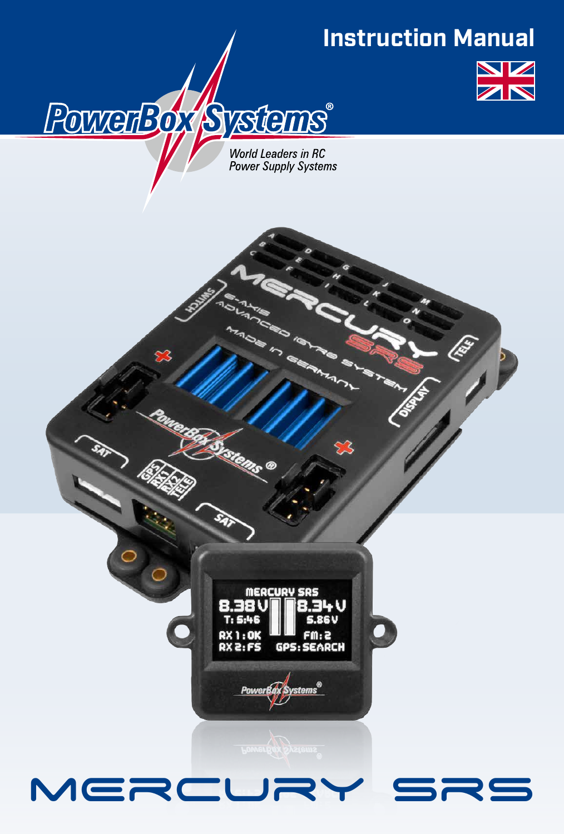# **Instruction Manual**

lis<br>Lis

r<br>Têg



World Leaders in RC **Power Supply Systems** 

PowerBox Systems®



stems<sup>®</sup>

**MERCURY** 

n. OK **GOS** 

**PowerB**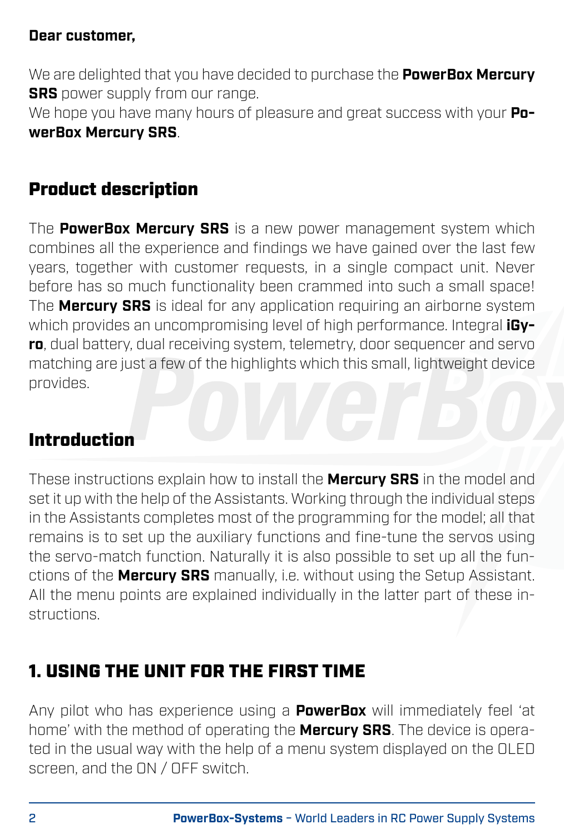#### **Dear customer,**

We are delighted that you have decided to purchase the **PowerBox Mercury SRS** power supply from our range.

We hope you have many hours of pleasure and great success with your **PowerBox Mercury SRS**.

# Product description

The **PowerBox Mercury SRS** is a new power management system which combines all the experience and findings we have gained over the last few years, together with customer requests, in a single compact unit. Never before has so much functionality been crammed into such a small space! The **Mercury SRS** is ideal for any application requiring an airborne system which provides an uncompromising level of high performance. Integral **iGyro**, dual battery, dual receiving system, telemetry, door sequencer and servo matching are just a few of the highlights which this small, lightweight device provides.

### Introduction

These instructions explain how to install the **Mercury SRS** in the model and set it up with the help of the Assistants. Working through the individual steps in the Assistants completes most of the programming for the model; all that remains is to set up the auxiliary functions and fine-tune the servos using the servo-match function. Naturally it is also possible to set up all the functions of the **Mercury SRS** manually, i.e. without using the Setup Assistant. All the menu points are explained individually in the latter part of these instructions.

# 1. USING THE UNIT FOR THE FIRST TIME

Any pilot who has experience using a **PowerBox** will immediately feel 'at home' with the method of operating the **Mercury SRS**. The device is operated in the usual way with the help of a menu system displayed on the OLED screen, and the ON / OFF switch.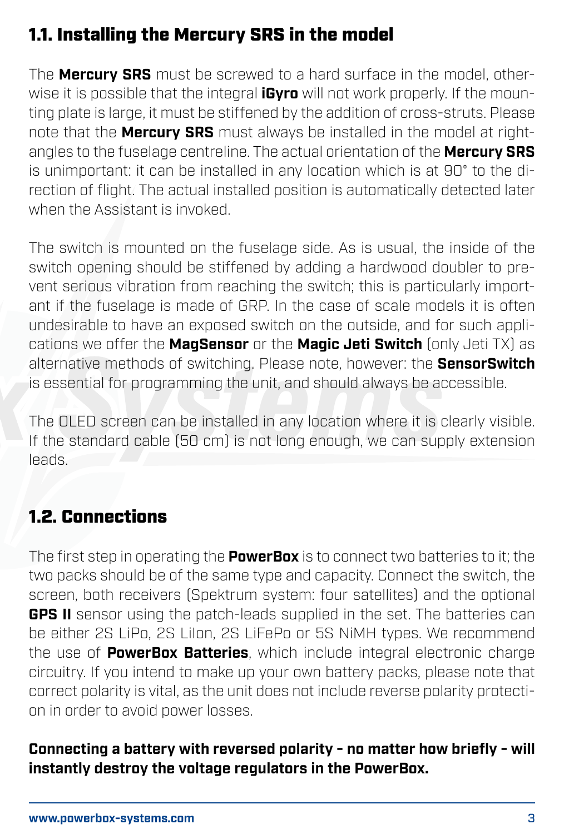# 1.1. Installing the Mercury SRS in the model

The **Mercury SRS** must be screwed to a hard surface in the model, otherwise it is possible that the integral **iGyro** will not work properly. If the mounting plate is large, it must be stiffened by the addition of cross-struts. Please note that the **Mercury SRS** must always be installed in the model at rightangles to the fuselage centreline. The actual orientation of the **Mercury SRS** is unimportant: it can be installed in any location which is at 90° to the direction of flight. The actual installed position is automatically detected later when the Assistant is invoked.

The switch is mounted on the fuselage side. As is usual, the inside of the switch opening should be stiffened by adding a hardwood doubler to prevent serious vibration from reaching the switch; this is particularly important if the fuselage is made of GRP. In the case of scale models it is often undesirable to have an exposed switch on the outside, and for such applications we offer the **MagSensor** or the **Magic Jeti Switch** (only Jeti TX) as alternative methods of switching. Please note, however: the **SensorSwitch** is essential for programming the unit, and should always be accessible.

The OLED screen can be installed in any location where it is clearly visible. If the standard cable (50 cm) is not long enough, we can supply extension leads.

# 1.2. Connections

The first step in operating the **PowerBox** is to connect two batteries to it; the two packs should be of the same type and capacity. Connect the switch, the screen, both receivers (Spektrum system: four satellites) and the optional **GPS II** sensor using the patch-leads supplied in the set. The batteries can be either 2S LiPo, 2S LiIon, 2S LiFePo or 5S NiMH types. We recommend the use of **PowerBox Batteries**, which include integral electronic charge circuitry. If you intend to make up your own battery packs, please note that correct polarity is vital, as the unit does not include reverse polarity protection in order to avoid power losses.

#### **Connecting a battery with reversed polarity - no matter how briefly - will instantly destroy the voltage regulators in the PowerBox.**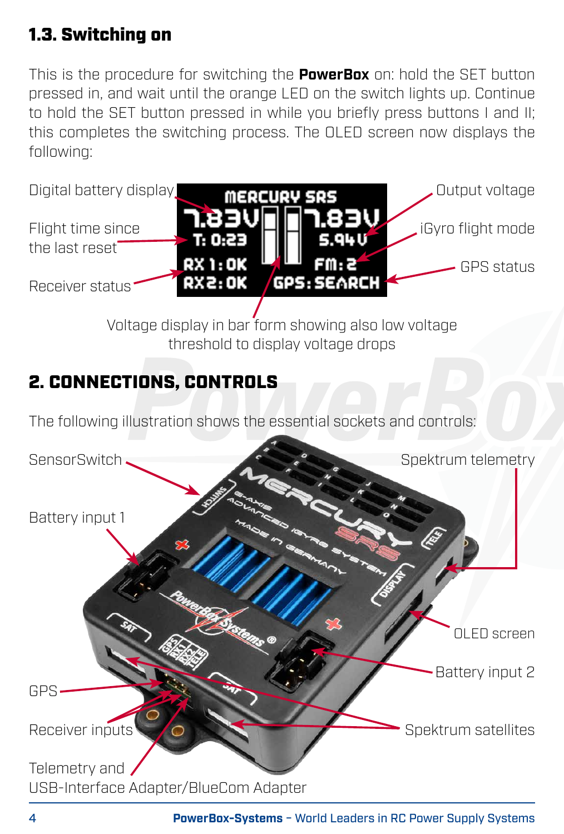# 1.3. Switching on

This is the procedure for switching the **PowerBox** on: hold the SET button pressed in, and wait until the orange LED on the switch lights up. Continue to hold the SET button pressed in while you briefly press buttons I and II; this completes the switching process. The OLED screen now displays the following:

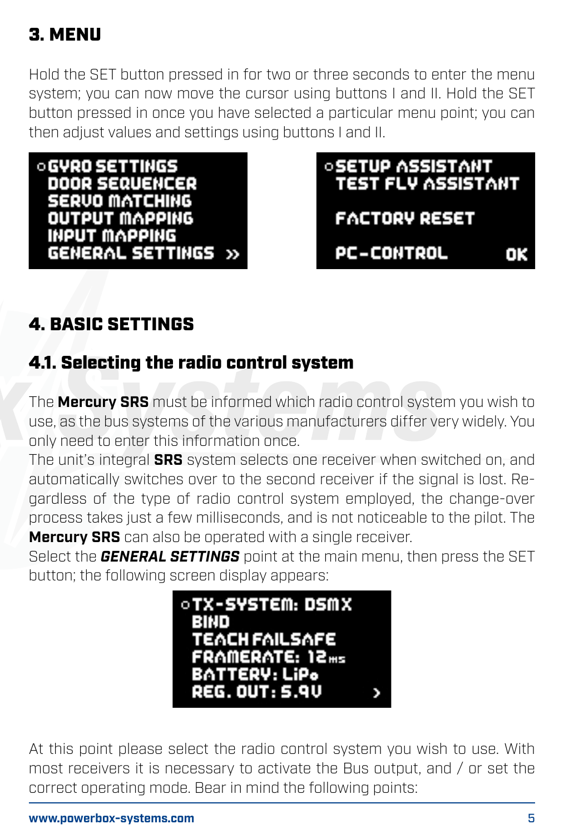# 3. MENU

Hold the SET button pressed in for two or three seconds to enter the menu system; you can now move the cursor using buttons I and II. Hold the SET button pressed in once you have selected a particular menu point; you can then adjust values and settings using buttons I and II.

**OGVRO SETTINGS DOOR SEQUENCER SERVO MATCHING OUTPUT MAPPING INPUT MAPPING** GENERAL SETTINGS » *<b>SETUP ASSISTANT* **TEST FLV ASSISTANT FACTORY RESET PC-CONTROL** ΩK

# 4. BASIC SETTINGS

### 4.1. Selecting the radio control system

The **Mercury SRS** must be informed which radio control system you wish to use, as the bus systems of the various manufacturers differ very widely. You only need to enter this information once.

The unit's integral **SRS** system selects one receiver when switched on, and automatically switches over to the second receiver if the signal is lost. Regardless of the type of radio control system employed, the change-over process takes just a few milliseconds, and is not noticeable to the pilot. The **Mercury SRS** can also be operated with a single receiver.

Select the *GENERAL SETTINGS* point at the main menu, then press the SET button; the following screen display appears:



At this point please select the radio control system you wish to use. With most receivers it is necessary to activate the Bus output, and / or set the correct operating mode. Bear in mind the following points: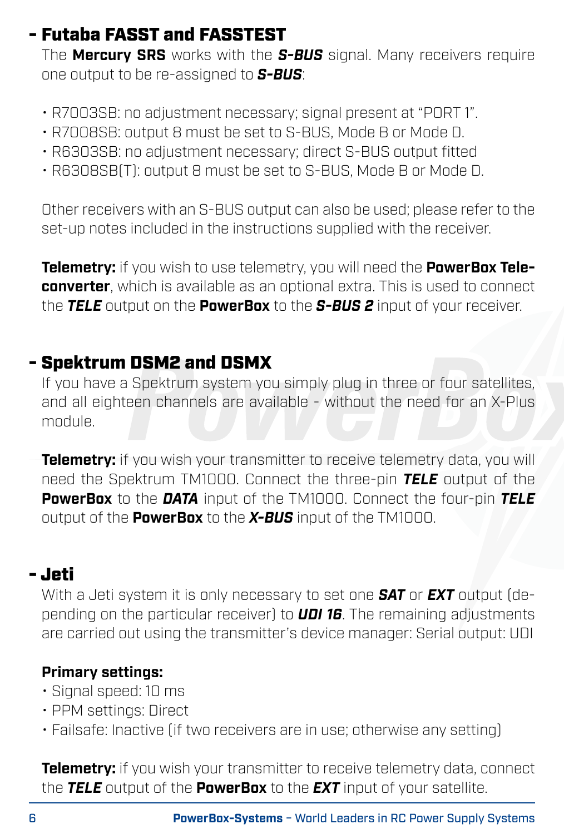### - Futaba FASST and FASSTEST

The **Mercury SRS** works with the *S-BUS* signal. Many receivers require one output to be re-assigned to *S-BUS*:

- R7003SB: no adjustment necessary; signal present at "PORT 1".
- R7008SB: output 8 must be set to S-BUS, Mode B or Mode D.
- R6303SB: no adjustment necessary; direct S-BUS output fitted
- R6308SB(T): output 8 must be set to S-BUS, Mode B or Mode D.

Other receivers with an S-BUS output can also be used; please refer to the set-up notes included in the instructions supplied with the receiver.

**Telemetry:** if you wish to use telemetry, you will need the **PowerBox Teleconverter**, which is available as an optional extra. This is used to connect the *TELE* output on the **PowerBox** to the *S-BUS 2* input of your receiver.

### - Spektrum DSM2 and DSMX

If you have a Spektrum system you simply plug in three or four satellites, and all eighteen channels are available - without the need for an X-Plus module.

**Telemetry:** if you wish your transmitter to receive telemetry data, you will need the Spektrum TM1000. Connect the three-pin *TELE* output of the **PowerBox** to the *DATA* input of the TM1000. Connect the four-pin *TELE* output of the **PowerBox** to the *X-BUS* input of the TM1000.

# - Jeti

With a Jeti system it is only necessary to set one *SAT* or *EXT* output (depending on the particular receiver) to *UDI 16*. The remaining adjustments are carried out using the transmitter's device manager: Serial output: UDI

### **Primary settings:**

- Signal speed: 10 ms
- PPM settings: Direct
- Failsafe: Inactive (if two receivers are in use; otherwise any setting)

**Telemetry:** if you wish your transmitter to receive telemetry data, connect the *TELE* output of the **PowerBox** to the *EXT* input of your satellite.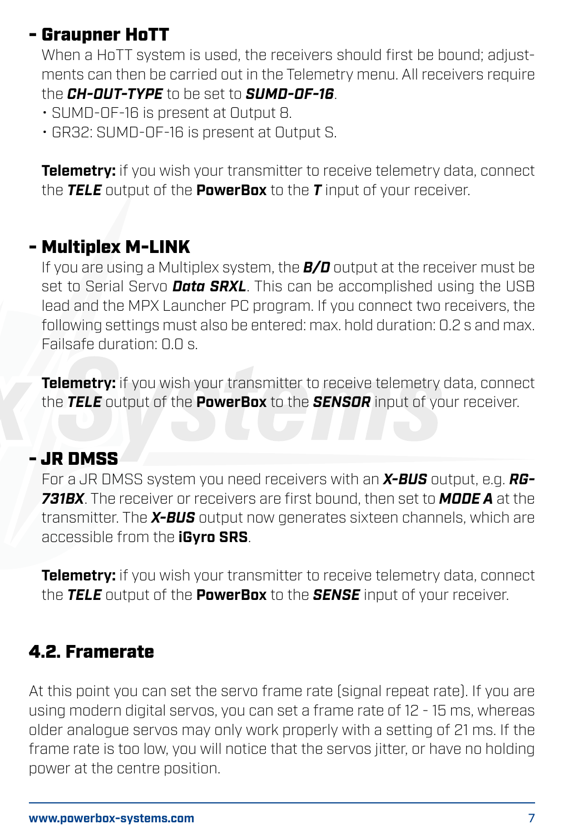# - Graupner HoTT

When a HoTT system is used, the receivers should first be bound; adjustments can then be carried out in the Telemetry menu. All receivers require

the *CH-OUT-TYPE* to be set to *SUMD-OF-16*.

- SUMD-OF-16 is present at Output 8.
- GR32: SUMD-OF-16 is present at Output S.

**Telemetry:** if you wish your transmitter to receive telemetry data, connect the *TELE* output of the **PowerBox** to the *T* input of your receiver.

### - Multiplex M-LINK

If you are using a Multiplex system, the *B/D* output at the receiver must be set to Serial Servo *Data SRXL*. This can be accomplished using the USB lead and the MPX Launcher PC program. If you connect two receivers, the following settings must also be entered: max. hold duration: 0.2 s and max. Failsafe duration: 0.0 s.

**Telemetry:** if you wish your transmitter to receive telemetry data, connect the *TELE* output of the **PowerBox** to the *SENSOR* input of your receiver.

### - JR DMSS

For a JR DMSS system you need receivers with an *X-BUS* output, e.g. *RG-731BX*. The receiver or receivers are first bound, then set to *MODE A* at the transmitter. The *X-BUS* output now generates sixteen channels, which are accessible from the **iGyro SRS**.

**Telemetry:** if you wish your transmitter to receive telemetry data, connect the *TELE* output of the **PowerBox** to the *SENSE* input of your receiver.

# 4.2. Framerate

At this point you can set the servo frame rate (signal repeat rate). If you are using modern digital servos, you can set a frame rate of 12 - 15 ms, whereas older analogue servos may only work properly with a setting of 21 ms. If the frame rate is too low, you will notice that the servos jitter, or have no holding power at the centre position.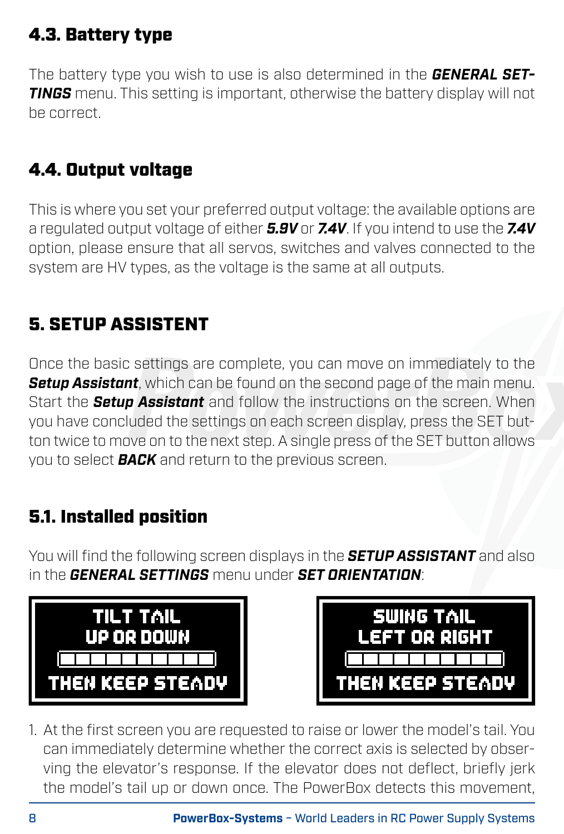# 4.3. Battery type

The battery type you wish to use is also determined in the *GENERAL SET-TINGS* menu. This setting is important, otherwise the battery display will not be correct.

# 4.4. Output voltage

This is where you set your preferred output voltage: the available options are a regulated output voltage of either *5.9V* or *7.4V*. If you intend to use the *7.4V*  option, please ensure that all servos, switches and valves connected to the system are HV types, as the voltage is the same at all outputs.

# 5. SETUP ASSISTENT

Once the basic settings are complete, you can move on immediately to the *Setup Assistant*, which can be found on the second page of the main menu. Start the *Setup Assistant* and follow the instructions on the screen. When you have concluded the settings on each screen display, press the SET button twice to move on to the next step. A single press of the SET button allows you to select *BACK* and return to the previous screen.

# 5.1. Installed position

You will find the following screen displays in the *SETUP ASSISTANT* and also in the *GENERAL SETTINGS* menu under *SET ORIENTATION*:





1. At the first screen you are requested to raise or lower the model's tail. You can immediately determine whether the correct axis is selected by observing the elevator's response. If the elevator does not deflect, briefly jerk the model's tail up or down once. The PowerBox detects this movement,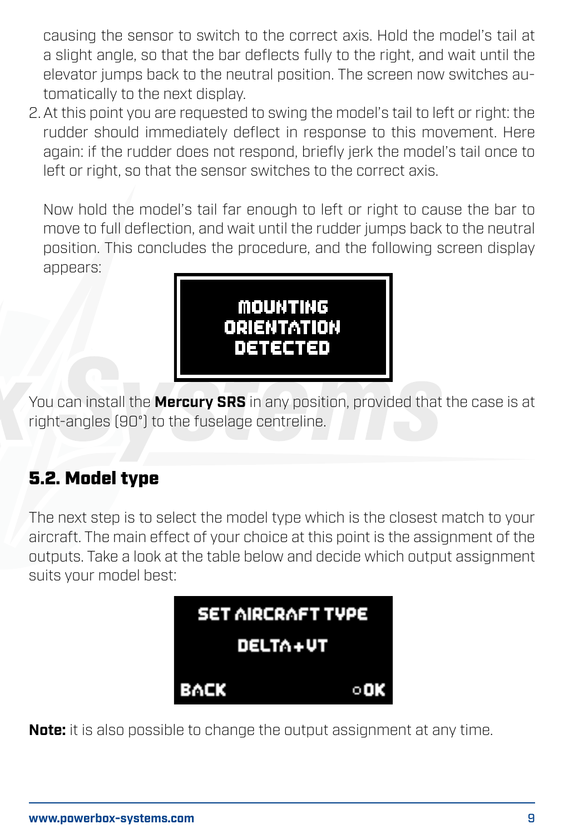causing the sensor to switch to the correct axis. Hold the model's tail at a slight angle, so that the bar deflects fully to the right, and wait until the elevator jumps back to the neutral position. The screen now switches automatically to the next display.

2. At this point you are requested to swing the model's tail to left or right: the rudder should immediately deflect in response to this movement. Here again: if the rudder does not respond, briefly jerk the model's tail once to left or right, so that the sensor switches to the correct axis.

Now hold the model's tail far enough to left or right to cause the bar to move to full deflection, and wait until the rudder jumps back to the neutral position. This concludes the procedure, and the following screen display annears:



You can install the **Mercury SRS** in any position, provided that the case is at right-angles (90°) to the fuselage centreline.

# 5.2. Model type

The next step is to select the model type which is the closest match to your aircraft. The main effect of your choice at this point is the assignment of the outputs. Take a look at the table below and decide which output assignment suits your model best:



**Note:** it is also possible to change the output assignment at any time.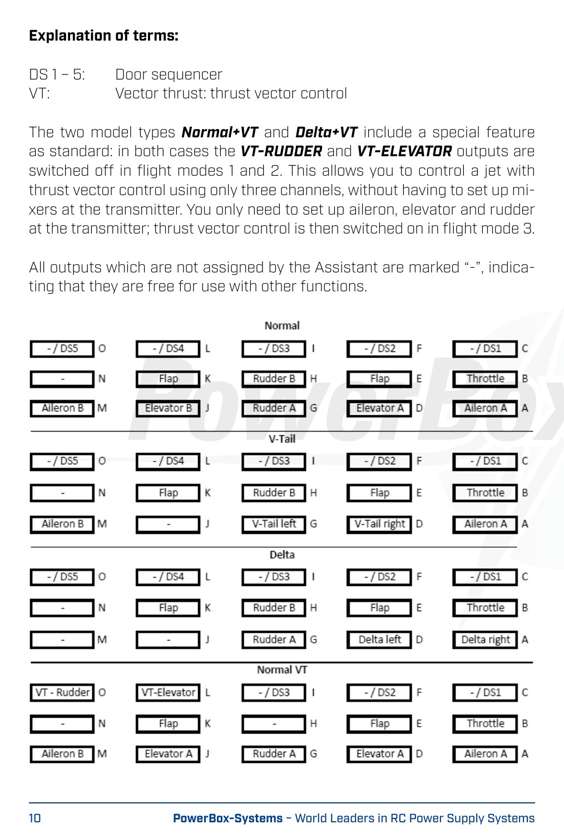#### **Explanation of terms:**

|     | DS 1 - 5: Door sequencer             |
|-----|--------------------------------------|
| VT: | Vector thrust: thrust vector control |

The two model types *Normal+VT* and *Delta+VT* include a special feature as standard: in both cases the *VT-RUDDER* and *VT-ELEVATOR* outputs are switched off in flight modes 1 and 2. This allows you to control a jet with thrust vector control using only three channels, without having to set up mixers at the transmitter. You only need to set up aileron, elevator and rudder at the transmitter; thrust vector control is then switched on in flight mode 3.

All outputs which are not assigned by the Assistant are marked "-", indicating that they are free for use with other functions.

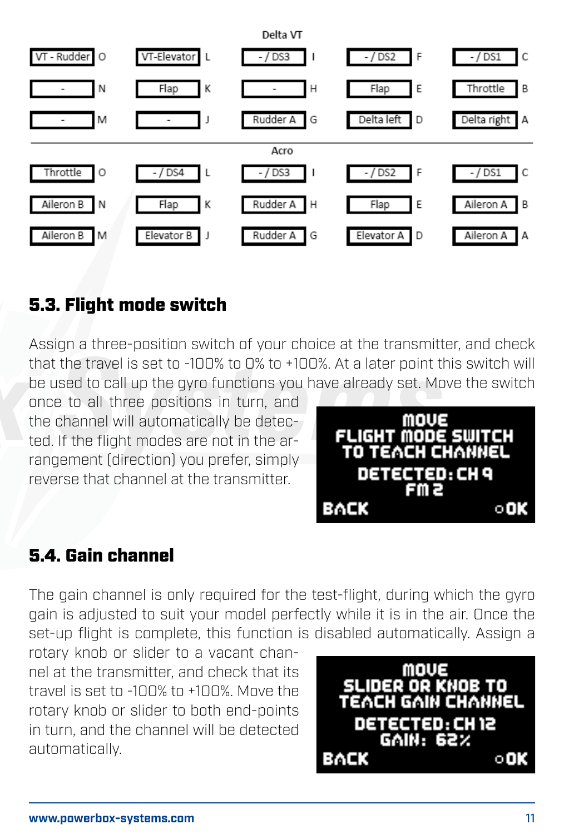

# 5.3. Flight mode switch

Assign a three-position switch of your choice at the transmitter, and check that the travel is set to -100% to 0% to +100%. At a later point this switch will be used to call up the gyro functions you have already set. Move the switch

once to all three positions in turn, and the channel will automatically be detected. If the flight modes are not in the arrangement (direction) you prefer, simply reverse that channel at the transmitter.



### 5.4. Gain channel

The gain channel is only required for the test-flight, during which the gyro gain is adjusted to suit your model perfectly while it is in the air. Once the set-up flight is complete, this function is disabled automatically. Assign a

rotary knob or slider to a vacant channel at the transmitter, and check that its travel is set to -100% to +100%. Move the rotary knob or slider to both end-points in turn, and the channel will be detected automatically.

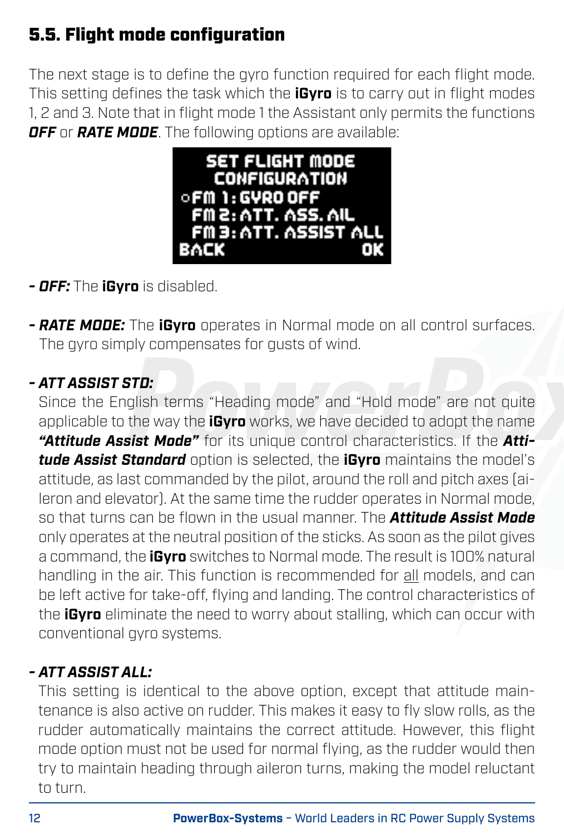# 5.5. Flight mode configuration

The next stage is to define the gyro function required for each flight mode. This setting defines the task which the **iGyro** is to carry out in flight modes 1, 2 and 3. Note that in flight mode 1 the Assistant only permits the functions *OFF* or *RATE MODE*. The following options are available:



- *OFF:* The **iGyro** is disabled.
- *RATE MODE:* The **iGyro** operates in Normal mode on all control surfaces. The avro simply compensates for qusts of wind.

### *- ATT ASSIST STD:*

Since the English terms "Heading mode" and "Hold mode" are not quite applicable to the way the **iGyro** works, we have decided to adopt the name *"Attitude Assist Mode"* for its unique control characteristics. If the *Attitude Assist Standard* option is selected, the **iGyro** maintains the model's attitude, as last commanded by the pilot, around the roll and pitch axes (aileron and elevator). At the same time the rudder operates in Normal mode, so that turns can be flown in the usual manner. The *Attitude Assist Mode* only operates at the neutral position of the sticks. As soon as the pilot gives a command, the **iGyro** switches to Normal mode. The result is 100% natural handling in the air. This function is recommended for all models, and can be left active for take-off, flying and landing. The control characteristics of the **iGyro** eliminate the need to worry about stalling, which can occur with conventional gyro systems.

#### *- ATT ASSIST ALL:*

This setting is identical to the above option, except that attitude maintenance is also active on rudder. This makes it easy to fly slow rolls, as the rudder automatically maintains the correct attitude. However, this flight mode option must not be used for normal flying, as the rudder would then try to maintain heading through aileron turns, making the model reluctant to turn.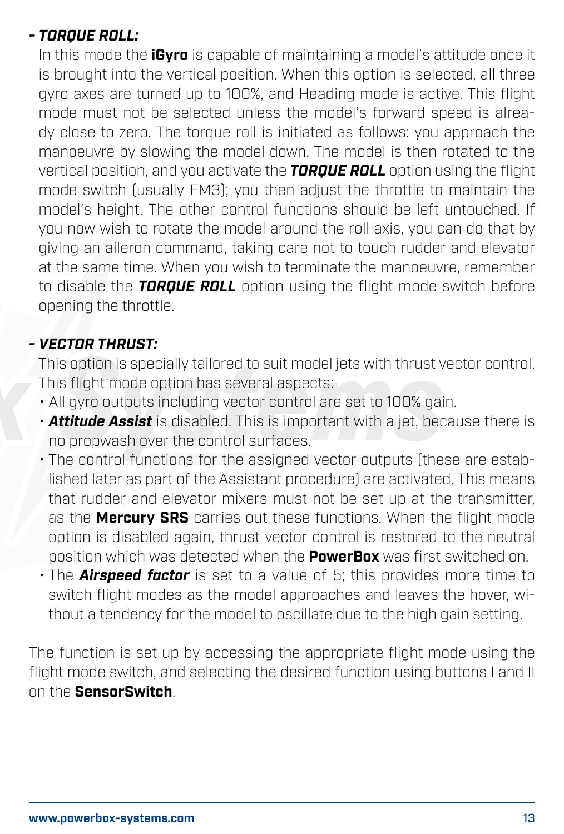#### *- TORQUE ROLL:*

In this mode the **iGyro** is capable of maintaining a model's attitude once it is brought into the vertical position. When this option is selected, all three gyro axes are turned up to 100%, and Heading mode is active. This flight mode must not be selected unless the model's forward speed is already close to zero. The torque roll is initiated as follows: you approach the manoeuvre by slowing the model down. The model is then rotated to the vertical position, and you activate the *TORQUE ROLL* option using the flight mode switch (usually FM3); you then adjust the throttle to maintain the model's height. The other control functions should be left untouched. If you now wish to rotate the model around the roll axis, you can do that by giving an aileron command, taking care not to touch rudder and elevator at the same time. When you wish to terminate the manoeuvre, remember to disable the *TORQUE ROLL* option using the flight mode switch before opening the throttle.

#### *- VECTOR THRUST:*

This option is specially tailored to suit model jets with thrust vector control. This flight mode option has several aspects:

- All gyro outputs including vector control are set to 100% gain.
- *Attitude Assist* is disabled. This is important with a jet, because there is no propwash over the control surfaces.
- The control functions for the assigned vector outputs (these are established later as part of the Assistant procedure) are activated. This means that rudder and elevator mixers must not be set up at the transmitter, as the **Mercury SRS** carries out these functions. When the flight mode option is disabled again, thrust vector control is restored to the neutral position which was detected when the **PowerBox** was first switched on.
- The *Airspeed factor* is set to a value of 5; this provides more time to switch flight modes as the model approaches and leaves the hover, without a tendency for the model to oscillate due to the high gain setting.

The function is set up by accessing the appropriate flight mode using the flight mode switch, and selecting the desired function using buttons I and II on the **SensorSwitch**.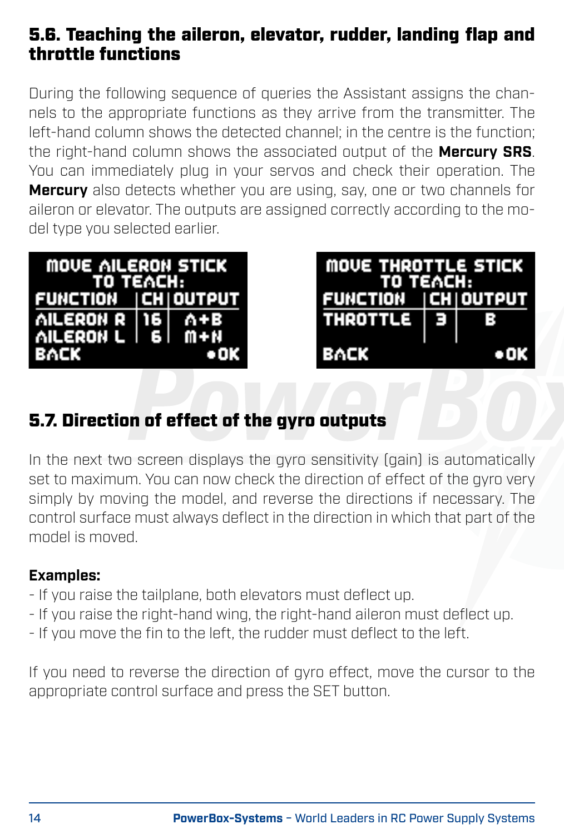### 5.6. Teaching the aileron, elevator, rudder, landing flap and throttle functions

During the following sequence of queries the Assistant assigns the channels to the appropriate functions as they arrive from the transmitter. The left-hand column shows the detected channel; in the centre is the function; the right-hand column shows the associated output of the **Mercury SRS**. You can immediately plug in your servos and check their operation. The **Mercury** also detects whether you are using, say, one or two channels for aileron or elevator. The outputs are assigned correctly according to the model type you selected earlier.

| MOVE AILERON STICK<br>TO TEACH: |  |      |
|---------------------------------|--|------|
| FUNCTION CH OUTPUT              |  |      |
| AILERON R 16 A+B                |  |      |
| AILERON L   6   M+N             |  |      |
| BACK                            |  | • ок |

| MOVE THROTTLE STICK<br>TO TEACH: |      |     |
|----------------------------------|------|-----|
| FUNCTION CH OUTPUT               |      |     |
| <b>THROTTLE</b>                  | - 13 | в   |
| BACK                             |      | оок |

# 5.7. Direction of effect of the gyro outputs

In the next two screen displays the gyro sensitivity (gain) is automatically set to maximum. You can now check the direction of effect of the gyro very simply by moving the model, and reverse the directions if necessary. The control surface must always deflect in the direction in which that part of the model is moved.

#### **Examples:**

- If you raise the tailplane, both elevators must deflect up.
- If you raise the right-hand wing, the right-hand aileron must deflect up.
- If you move the fin to the left, the rudder must deflect to the left.

If you need to reverse the direction of gyro effect, move the cursor to the appropriate control surface and press the SET button.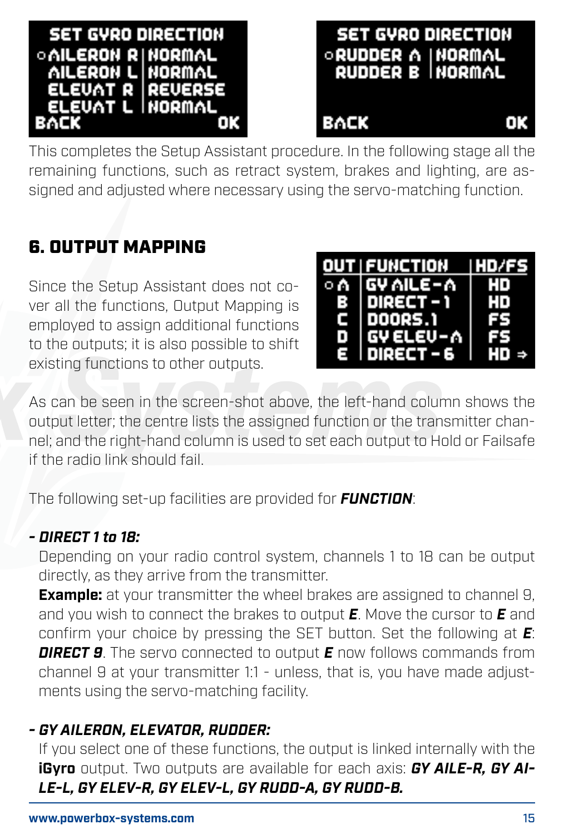



This completes the Setup Assistant procedure. In the following stage all the remaining functions, such as retract system, brakes and lighting, are assigned and adjusted where necessary using the servo-matching function.

### 6. OUTPUT MAPPING

Since the Setup Assistant does not cover all the functions, Output Mapping is employed to assign additional functions to the outputs; it is also possible to shift existing functions to other outputs.

|     | OUT FUNCTION | IHD/FS |
|-----|--------------|--------|
| ⊙ A | GY AILE-A    | нn     |
| R   | DIRECT - 1   | HD     |
| с   | DOORS.1      | FS     |
| n   | GY ELEU-A    | rs.    |
| Ξ   | I DIRECT – 6 | HD ⇒   |

As can be seen in the screen-shot above, the left-hand column shows the output letter; the centre lists the assigned function or the transmitter channel; and the right-hand column is used to set each output to Hold or Failsafe if the radio link should fail.

The following set-up facilities are provided for *FUNCTION*:

#### *- DIRECT 1 to 18:*

Depending on your radio control system, channels 1 to 18 can be output directly, as they arrive from the transmitter.

**Example:** at your transmitter the wheel brakes are assigned to channel 9. and you wish to connect the brakes to output *E*. Move the cursor to *E* and confirm your choice by pressing the SET button. Set the following at *E*: *DIRECT 9*. The servo connected to output *E* now follows commands from channel 9 at your transmitter 1:1 - unless, that is, you have made adjustments using the servo-matching facility.

#### *- GY AILERON, ELEVATOR, RUDDER:*

If you select one of these functions, the output is linked internally with the **iGyro** output. Two outputs are available for each axis: *GY AILE-R, GY AI-LE-L, GY ELEV-R, GY ELEV-L, GY RUDD-A, GY RUDD-B.*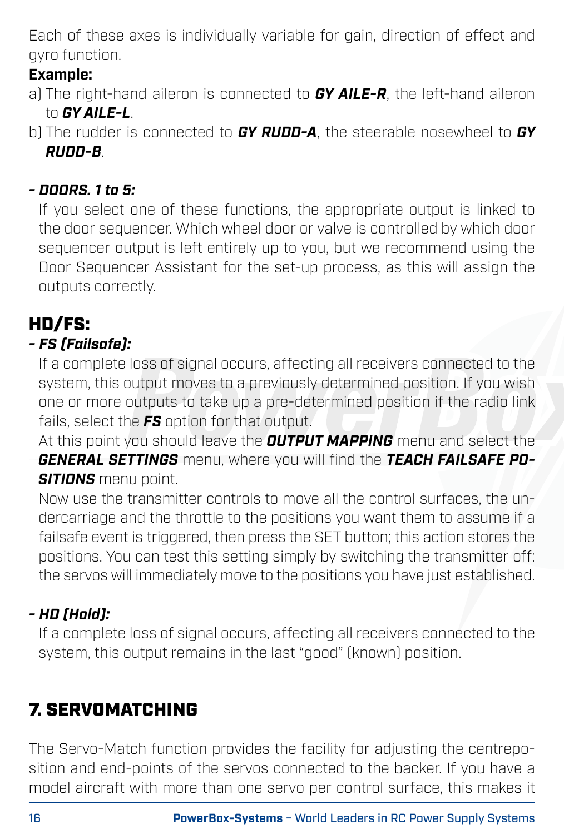Each of these axes is individually variable for gain, direction of effect and gyro function.

### **Example:**

- a) The right-hand aileron is connected to *GY AILE-R*, the left-hand aileron to *GY AILE-L*.
- b) The rudder is connected to *GY RUDD-A*, the steerable nosewheel to *GY RUDD-B*.

### *- DOORS. 1 to 5:*

If you select one of these functions, the appropriate output is linked to the door sequencer. Which wheel door or valve is controlled by which door sequencer output is left entirely up to you, but we recommend using the Door Sequencer Assistant for the set-up process, as this will assign the outputs correctly.

# HD/FS:

### *- FS (Failsafe):*

If a complete loss of signal occurs, affecting all receivers connected to the system, this output moves to a previously determined position. If you wish one or more outputs to take up a pre-determined position if the radio link fails, select the *FS* option for that output.

At this point you should leave the *OUTPUT MAPPING* menu and select the *GENERAL SETTINGS* menu, where you will find the *TEACH FAILSAFE PO-SITIONS* menu point.

Now use the transmitter controls to move all the control surfaces, the undercarriage and the throttle to the positions you want them to assume if a failsafe event is triggered, then press the SET button; this action stores the positions. You can test this setting simply by switching the transmitter off: the servos will immediately move to the positions you have just established.

### *- HD (Hold):*

If a complete loss of signal occurs, affecting all receivers connected to the system, this output remains in the last "good" (known) position.

# 7. SERVOMATCHING

The Servo-Match function provides the facility for adjusting the centreposition and end-points of the servos connected to the backer. If you have a model aircraft with more than one servo per control surface, this makes it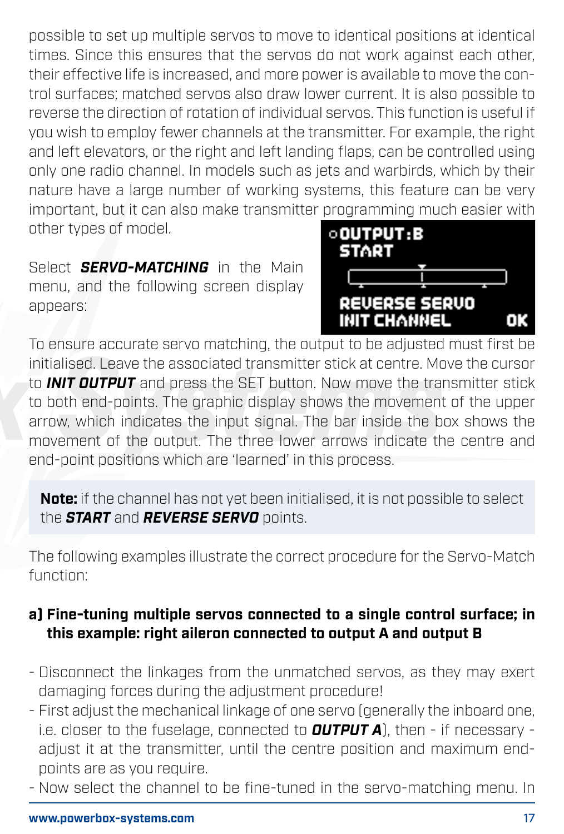possible to set up multiple servos to move to identical positions at identical times. Since this ensures that the servos do not work against each other. their effective life is increased, and more power is available to move the control surfaces; matched servos also draw lower current. It is also possible to reverse the direction of rotation of individual servos. This function is useful if you wish to employ fewer channels at the transmitter. For example, the right and left elevators, or the right and left landing flaps, can be controlled using only one radio channel. In models such as jets and warbirds, which by their nature have a large number of working systems, this feature can be very important, but it can also make transmitter programming much easier with other types of model.

Select *SFRVO-MATCHING* in the Main menu, and the following screen display appears:



To ensure accurate servo matching, the output to be adjusted must first be initialised. Leave the associated transmitter stick at centre. Move the cursor to *INIT OUTPUT* and press the SET button. Now move the transmitter stick to both end-points. The graphic display shows the movement of the upper arrow, which indicates the input signal. The bar inside the box shows the movement of the output. The three lower arrows indicate the centre and end-point positions which are 'learned' in this process.

**Note:** if the channel has not yet been initialised, it is not possible to select the *START* and *REVERSE SERVO* points.

The following examples illustrate the correct procedure for the Servo-Match function:

#### **a) Fine-tuning multiple servos connected to a single control surface; in this example: right aileron connected to output A and output B**

- Disconnect the linkages from the unmatched servos, as they may exert damaging forces during the adjustment procedure!
- First adjust the mechanical linkage of one servo (generally the inboard one, i.e. closer to the fuselage, connected to *OUTPUT A*), then - if necessary adjust it at the transmitter, until the centre position and maximum endpoints are as you require.
- Now select the channel to be fine-tuned in the servo-matching menu. In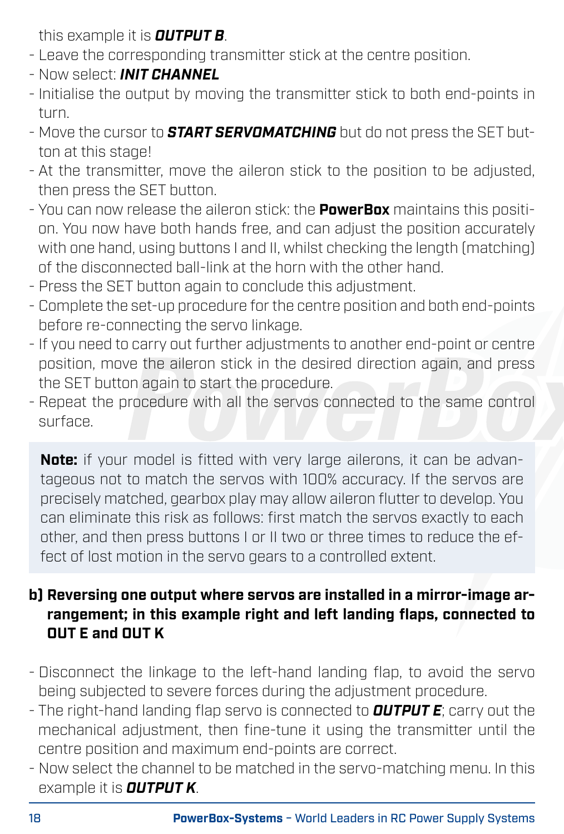this example it is *OUTPUT B*.

- Leave the corresponding transmitter stick at the centre position.
- Now select: *INIT CHANNEL*
- Initialise the output by moving the transmitter stick to both end-points in turn.
- Move the cursor to *START SERVOMATCHING* but do not press the SET button at this stage!
- At the transmitter, move the aileron stick to the position to be adjusted, then press the SET button.
- You can now release the aileron stick: the **PowerBox** maintains this position. You now have both hands free, and can adjust the position accurately with one hand, using buttons I and II, whilst checking the length (matching) of the disconnected ball-link at the horn with the other hand.
- Press the SET button again to conclude this adjustment.
- Complete the set-up procedure for the centre position and both end-points before re-connecting the servo linkage.
- If you need to carry out further adjustments to another end-point or centre position, move the aileron stick in the desired direction again, and press the SET button again to start the procedure.
- Repeat the procedure with all the servos connected to the same control surface.

**Note:** if your model is fitted with very large ailerons, it can be advantageous not to match the servos with 100% accuracy. If the servos are precisely matched, gearbox play may allow aileron flutter to develop. You can eliminate this risk as follows: first match the servos exactly to each other, and then press buttons I or II two or three times to reduce the effect of lost motion in the servo gears to a controlled extent.

### **b) Reversing one output where servos are installed in a mirror-image arrangement; in this example right and left landing flaps, connected to OUT E and OUT K**

- Disconnect the linkage to the left-hand landing flap, to avoid the servo being subjected to severe forces during the adjustment procedure.
- The right-hand landing flap servo is connected to *OUTPUT E*; carry out the mechanical adjustment, then fine-tune it using the transmitter until the centre position and maximum end-points are correct.
- Now select the channel to be matched in the servo-matching menu. In this example it is *OUTPUT K*.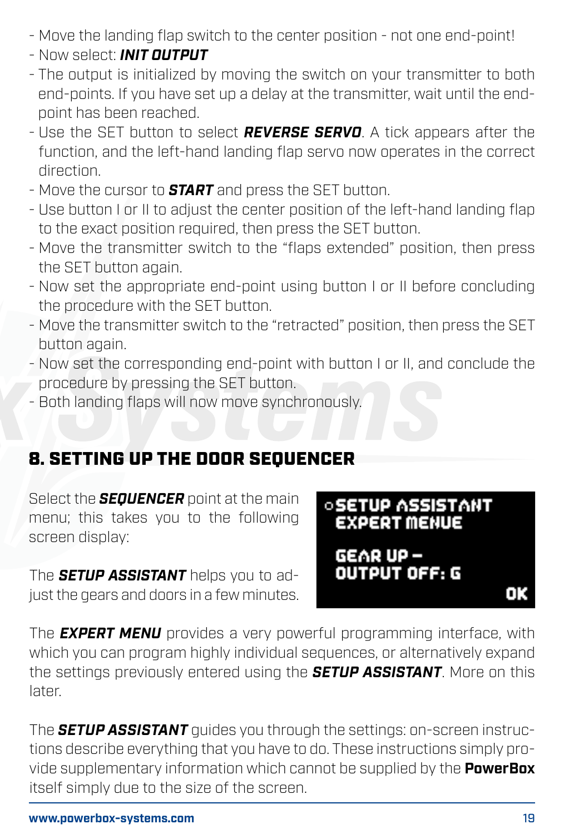- Move the landing flap switch to the center position not one end-point!
- Now select: *INIT OUTPUT*
- The output is initialized by moving the switch on your transmitter to both end-points. If you have set up a delay at the transmitter, wait until the endpoint has been reached.
- Use the SET button to select *REVERSE SERVO*. A tick appears after the function, and the left-hand landing flap servo now operates in the correct direction.
- Move the cursor to *START* and press the SET button.
- Use button I or II to adjust the center position of the left-hand landing flap to the exact position required, then press the SET button.
- Move the transmitter switch to the "flaps extended" position, then press the SET button again.
- Now set the appropriate end-point using button I or II before concluding the procedure with the SET button.
- Move the transmitter switch to the "retracted" position, then press the SET button again.
- Now set the corresponding end-point with button I or II, and conclude the procedure by pressing the SET button.
- Both landing flaps will now move synchronously.

# 8. SETTING UP THE DOOR SEQUENCER

Select the *SEQUENCER* point at the main menu; this takes you to the following screen display:

The *SETUP ASSISTANT* helps you to adjust the gears and doors in a few minutes.

### *<b>SETUP ASSISTANT* **EXPERT MENUE**

GEAR UP-**OUTPUT OFF: G** 

oĸ

The *EXPERT MENU* provides a very powerful programming interface, with which you can program highly individual sequences, or alternatively expand the settings previously entered using the *SETUP ASSISTANT*. More on this later.

The *SETUP ASSISTANT* guides you through the settings: on-screen instructions describe everything that you have to do. These instructions simply provide supplementary information which cannot be supplied by the **PowerBox** itself simply due to the size of the screen.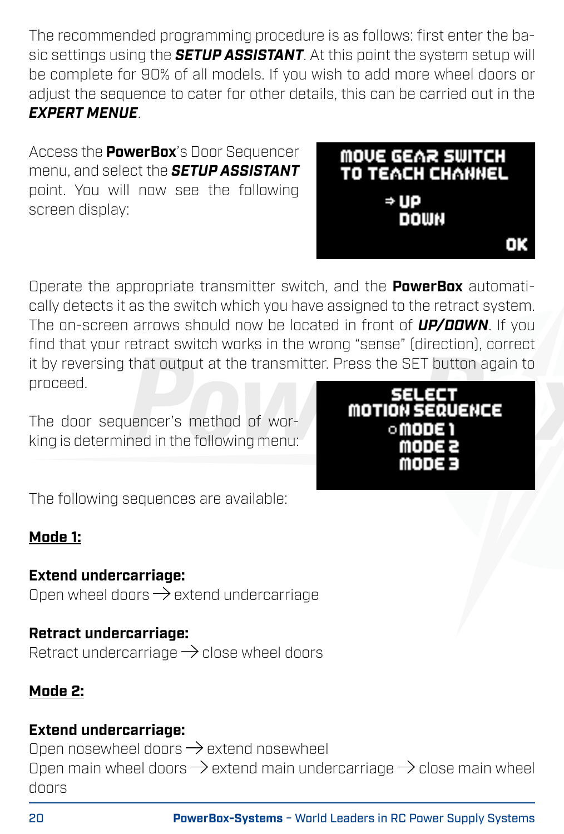The recommended programming procedure is as follows: first enter the basic settings using the *SETUP ASSISTANT*. At this point the system setup will be complete for 90% of all models. If you wish to add more wheel doors or adjust the sequence to cater for other details, this can be carried out in the *EXPERT MENUE*.

Access the **PowerBox**'s Door Sequencer menu, and select the *SETUP ASSISTANT* point. You will now see the following screen display:



Operate the appropriate transmitter switch, and the **PowerBox** automatically detects it as the switch which you have assigned to the retract system. The on-screen arrows should now be located in front of *UP/DOWN*. If you find that your retract switch works in the wrong "sense" (direction), correct it by reversing that output at the transmitter. Press the SET button again to proceed.

The door sequencer's method of working is determined in the following menu:



The following sequences are available:

### **Mode 1:**

### **Extend undercarriage:**

Open wheel doors  $\rightarrow$  extend undercarriage

**Retract undercarriage:** Retract undercarriage  $\rightarrow$  close wheel doors

#### **Mode 2:**

### **Extend undercarriage:**

Open nosewheel doors  $\rightarrow$  extend nosewheel Open main wheel doors  $\rightarrow$  extend main undercarriage  $\rightarrow$  close main wheel doors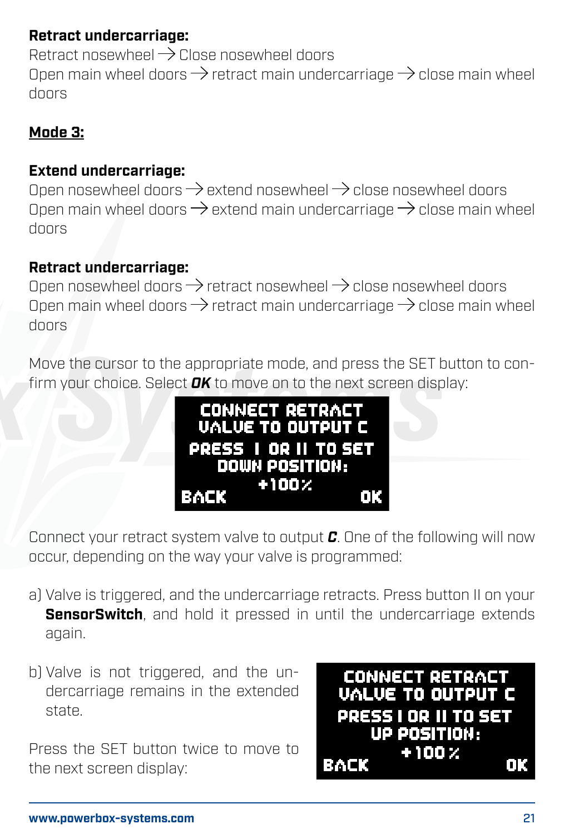### **Retract undercarriage:**

Retract nosewheel  $\rightarrow$  Close nosewheel doors Open main wheel doors  $\rightarrow$  retract main undercarriage  $\rightarrow$  close main wheel doors

#### **Mode 3:**

#### **Extend undercarriage:**

Open nosewheel doors  $\rightarrow$  extend nosewheel  $\rightarrow$  close nosewheel doors Open main wheel doors  $\rightarrow$  extend main undercarriage  $\rightarrow$  close main wheel doors

#### **Retract undercarriage:**

Open nosewheel doors  $\rightarrow$  retract nosewheel  $\rightarrow$  close nosewheel doors Open main wheel doors  $\rightarrow$  retract main undercarriage  $\rightarrow$  close main wheel doors

Move the cursor to the appropriate mode, and press the SET button to confirm your choice. Select *OK* to move on to the next screen display:



Connect your retract system valve to output *C*. One of the following will now occur, depending on the way your valve is programmed:

- a) Valve is triggered, and the undercarriage retracts. Press button II on your **SensorSwitch**, and hold it pressed in until the undercarriage extends again.
- b) Valve is not triggered, and the undercarriage remains in the extended state.

Press the SET button twice to move to the next screen display:

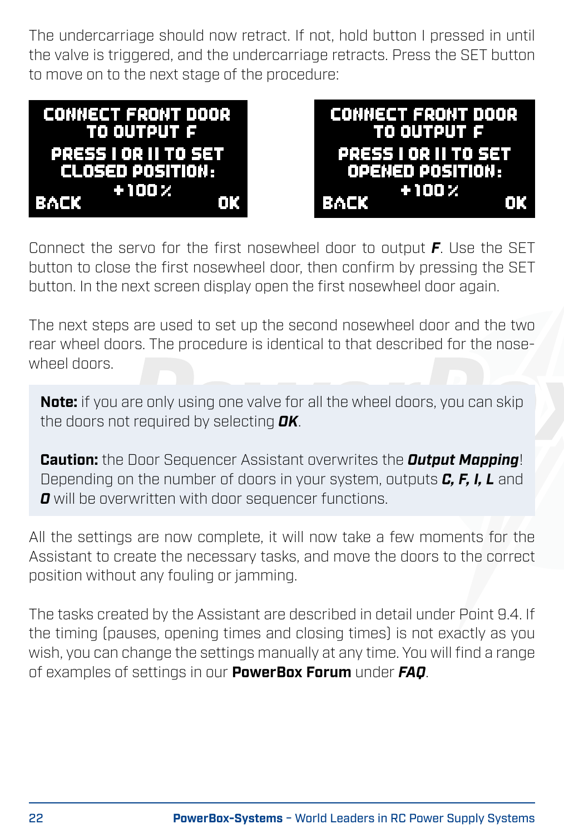The undercarriage should now retract. If not, hold button I pressed in until the valve is triggered, and the undercarriage retracts. Press the SET button to move on to the next stage of the procedure:

| <b>CONNECT FRONT DOOR</b> | <b>CONNECT FRONT DOOR</b> |
|---------------------------|---------------------------|
| TO OUTPUT F               | <b>TO OUTPUT F</b>        |
| PRESS I OR II TO SET      | PRESS I OR II TO SET      |
| <b>CLOSED POSITION:</b>   | OPENED POSITION:          |
| $+100.2$                  | $+100 \times$             |
| <b>BACK</b>               | BACK                      |
| 0K.                       | Ω                         |

Connect the servo for the first nosewheel door to output *F*. Use the SET button to close the first nosewheel door, then confirm by pressing the SET button. In the next screen display open the first nosewheel door again.

The next steps are used to set up the second nosewheel door and the two rear wheel doors. The procedure is identical to that described for the nosewheel doors.

**Note:** if you are only using one valve for all the wheel doors, you can skip the doors not required by selecting *OK*.

**Caution:** the Door Sequencer Assistant overwrites the *Output Mapping*! Depending on the number of doors in your system, outputs *C, F, I, L* and *O* will be overwritten with door sequencer functions.

All the settings are now complete, it will now take a few moments for the Assistant to create the necessary tasks, and move the doors to the correct position without any fouling or jamming.

The tasks created by the Assistant are described in detail under Point 9.4. If the timing (pauses, opening times and closing times) is not exactly as you wish, you can change the settings manually at any time. You will find a range of examples of settings in our **PowerBox Forum** under *FAQ*.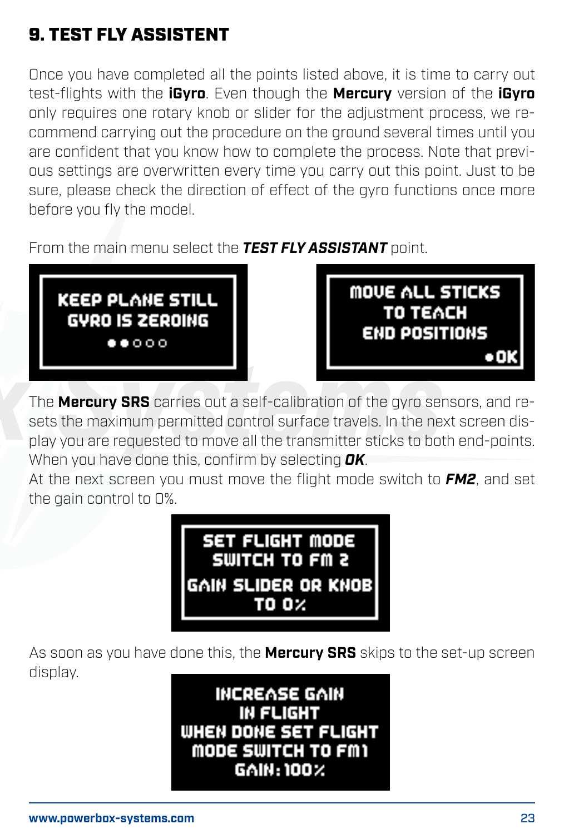# 9. TEST FLY ASSISTENT

Once you have completed all the points listed above, it is time to carry out test-flights with the **iGyro**. Even though the **Mercury** version of the **iGyro** only requires one rotary knob or slider for the adjustment process, we recommend carrying out the procedure on the ground several times until you are confident that you know how to complete the process. Note that previous settings are overwritten every time you carry out this point. Just to be sure, please check the direction of effect of the gyro functions once more before you fly the model.

From the main menu select the *TEST FLY ASSISTANT* point.





The **Mercury SRS** carries out a self-calibration of the gyro sensors, and resets the maximum permitted control surface travels. In the next screen display you are requested to move all the transmitter sticks to both end-points. When you have done this, confirm by selecting *OK*.

At the next screen you must move the flight mode switch to *FM2*, and set the gain control to 0%.



As soon as you have done this, the **Mercury SRS** skips to the set-up screen display.

> **INCREASE GAIN IN FLIGHT** WHEN DONE SET FLIGHT MODE SWITCH TO FM1 GAIN: 100%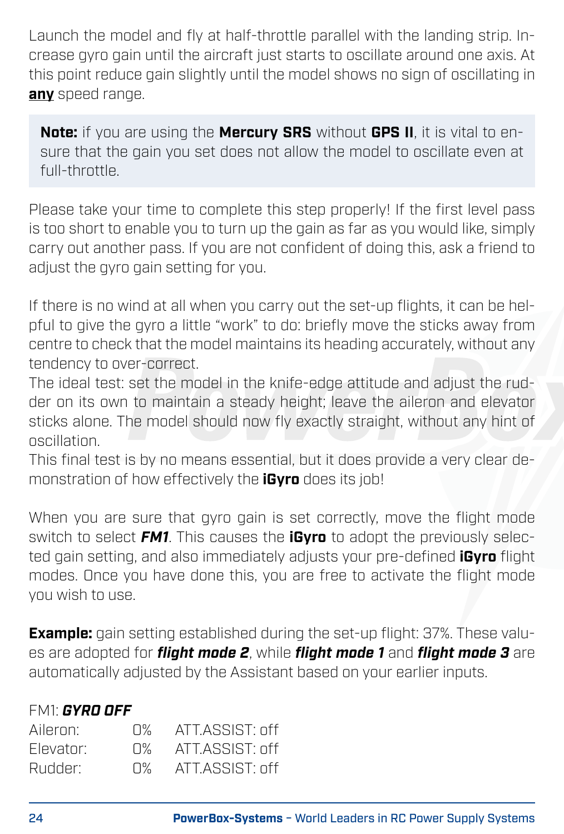Launch the model and fly at half-throttle parallel with the landing strip. Increase gyro gain until the aircraft just starts to oscillate around one axis. At this point reduce gain slightly until the model shows no sign of oscillating in **any** speed range.

**Note:** if you are using the **Mercury SRS** without **GPS II**, it is vital to ensure that the gain you set does not allow the model to oscillate even at full-throttle.

Please take your time to complete this step properly! If the first level pass is too short to enable you to turn up the gain as far as you would like, simply carry out another pass. If you are not confident of doing this, ask a friend to adjust the gyro gain setting for you.

If there is no wind at all when you carry out the set-up flights, it can be helpful to give the gyro a little "work" to do: briefly move the sticks away from centre to check that the model maintains its heading accurately, without any tendency to over-correct.

The ideal test: set the model in the knife-edge attitude and adjust the rudder on its own to maintain a steady height; leave the aileron and elevator sticks alone. The model should now fly exactly straight, without any hint of oscillation.

This final test is by no means essential, but it does provide a very clear demonstration of how effectively the **iGyro** does its job!

When you are sure that gyro gain is set correctly, move the flight mode switch to select *FM1*. This causes the **iGyro** to adopt the previously selected gain setting, and also immediately adjusts your pre-defined **iGyro** flight modes. Once you have done this, you are free to activate the flight mode you wish to use.

**Example:** gain setting established during the set-up flight: 37%. These values are adopted for *flight mode 2*, while *flight mode 1* and *flight mode 3* are automatically adjusted by the Assistant based on your earlier inputs.

#### FM1: *GYRO OFF*

| Aileron:  | n% i | ATT.ASSIST: off   |
|-----------|------|-------------------|
| Flevator: | П%.  | $ATT ASSIST+ nff$ |
| Rudder:   | П%.  | $ATT ASSIST+$ off |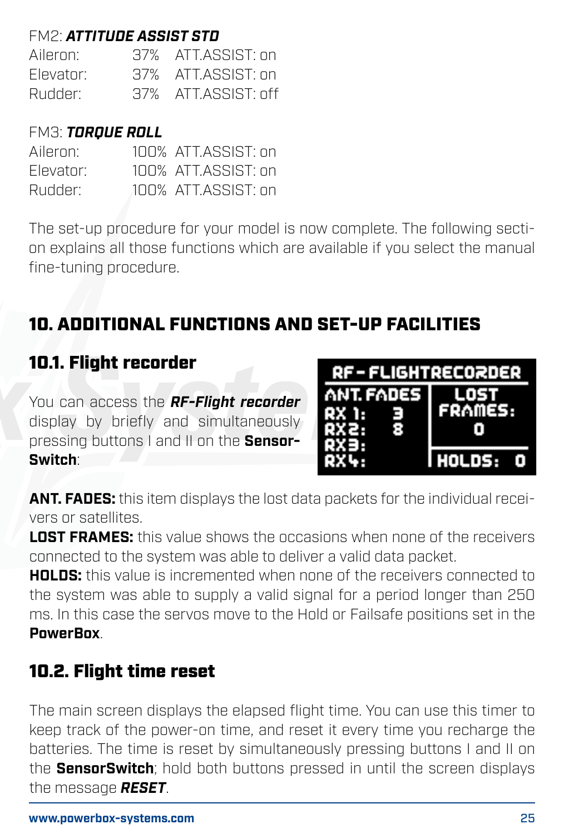# FM2: *ATTITUDE ASSIST STD*

Aileron: 37% ATT.ASSIST: on<br>Elevator: 37% ATT.ASSIST: on Elevator: 37% ATT.ASSIST: on Rudder: 37% ATT.ASSIST: off

#### FM3: *TORQUE ROLL*

| Aileron:  | 100% ATT ASSIST: on |
|-----------|---------------------|
| Flevator: | 100% ATT ASSIST: on |
| Rudder:   | 100% ATT ASSIST: on |

The set-up procedure for your model is now complete. The following section explains all those functions which are available if you select the manual fine-tuning procedure.

# 10. ADDITIONAL FUNCTIONS AND SET-UP FACILITIES

### 10.1. Flight recorder

You can access the *RF-Flight recorder* display by briefly and simultaneously pressing buttons I and II on the **Sensor-Switch**:

| <b>RF-FLIGHTRECORDER</b> |                |  |
|--------------------------|----------------|--|
| <b>ANT FADES</b>         | LOST           |  |
| RX 1:<br>QX2.            | <b>FRAMES:</b> |  |
| OX3.                     |                |  |
| m                        | l HOLDS:       |  |

**ANT. FADES:** this item displays the lost data packets for the individual receivers or satellites.

**LOST FRAMES:** this value shows the occasions when none of the receivers connected to the system was able to deliver a valid data packet.

**HOLDS:** this value is incremented when none of the receivers connected to the system was able to supply a valid signal for a period longer than 250 ms. In this case the servos move to the Hold or Failsafe positions set in the **PowerBox**.

### 10.2. Flight time reset

The main screen displays the elapsed flight time. You can use this timer to keep track of the power-on time, and reset it every time you recharge the batteries. The time is reset by simultaneously pressing buttons I and II on the **SensorSwitch**; hold both buttons pressed in until the screen displays the message *RESET*.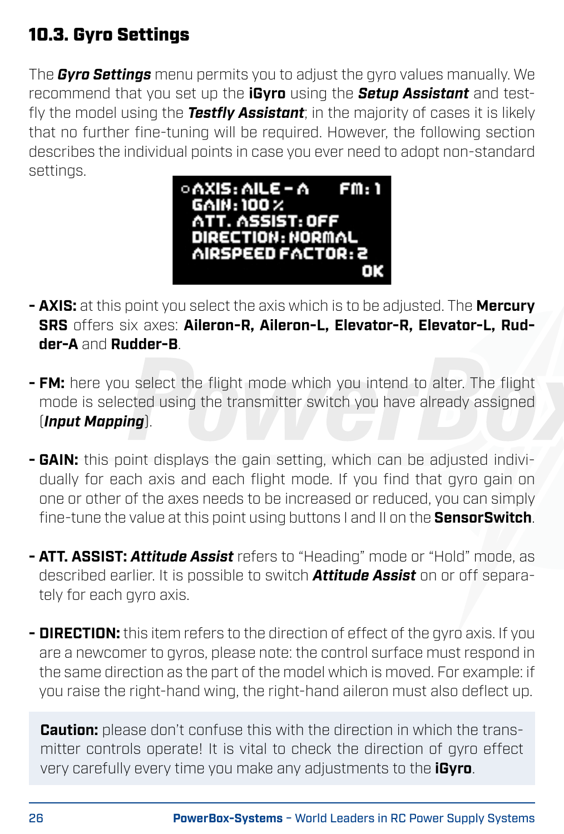# 10.3. Gyro Settings

The *Gyro Settings* menu permits you to adjust the gyro values manually. We recommend that you set up the **iGyro** using the *Setup Assistant* and testfly the model using the *Testfly Assistant*; in the majority of cases it is likely that no further fine-tuning will be required. However, the following section describes the individual points in case you ever need to adopt non-standard settings.



- **AXIS:** at this point you select the axis which is to be adjusted. The **Mercury SRS** offers six axes: **Aileron-R, Aileron-L, Elevator-R, Elevator-L, Rudder-A** and **Rudder-B**.
- **FM:** here you select the flight mode which you intend to alter. The flight mode is selected using the transmitter switch you have already assigned (*Input Mapping*).
- **GAIN:** this point displays the gain setting, which can be adjusted individually for each axis and each flight mode. If you find that gyro gain on one or other of the axes needs to be increased or reduced, you can simply fine-tune the value at this point using buttons I and II on the **SensorSwitch**.
- **ATT. ASSIST:** *Attitude Assist* refers to "Heading" mode or "Hold" mode, as described earlier. It is possible to switch *Attitude Assist* on or off separately for each gyro axis.
- **DIRECTION:** this item refers to the direction of effect of the gyro axis. If you are a newcomer to gyros, please note: the control surface must respond in the same direction as the part of the model which is moved. For example: if you raise the right-hand wing, the right-hand aileron must also deflect up.

**Caution:** please don't confuse this with the direction in which the transmitter controls operate! It is vital to check the direction of gyro effect very carefully every time you make any adjustments to the **iGyro**.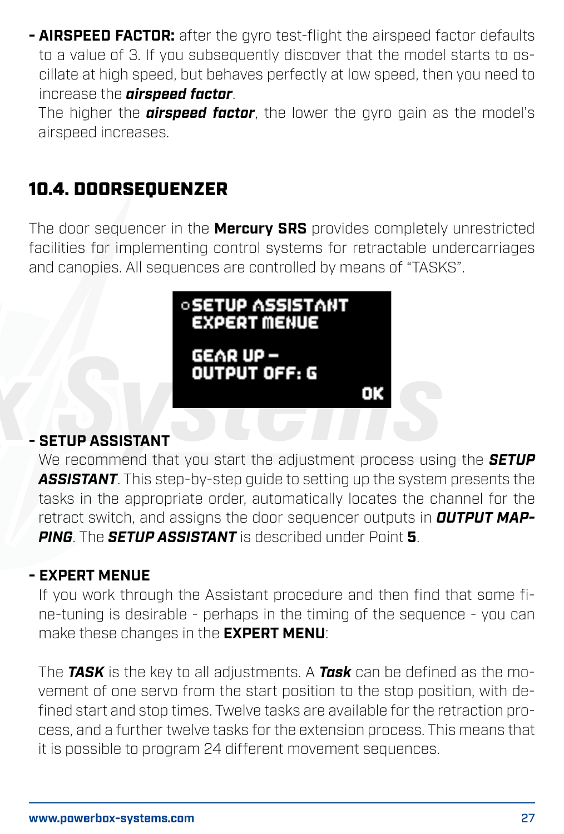**- AIRSPEED FACTOR:** after the gyro test-flight the airspeed factor defaults to a value of 3. If you subsequently discover that the model starts to oscillate at high speed, but behaves perfectly at low speed, then you need to increase the *airspeed factor*.

The higher the *airspeed factor*, the lower the gyro gain as the model's airspeed increases.

# 10.4. DOORSEQUENZER

The door sequencer in the **Mercury SRS** provides completely unrestricted facilities for implementing control systems for retractable undercarriages and canopies. All sequences are controlled by means of "TASKS".



#### **- SETUP ASSISTANT**

We recommend that you start the adjustment process using the *SETUP ASSISTANT*. This step-by-step guide to setting up the system presents the tasks in the appropriate order, automatically locates the channel for the retract switch, and assigns the door sequencer outputs in *OUTPUT MAP-PING*. The *SETUP ASSISTANT* is described under Point **5**.

#### **- EXPERT MENUE**

If you work through the Assistant procedure and then find that some fine-tuning is desirable - perhaps in the timing of the sequence - you can make these changes in the **EXPERT MENU**:

The *TASK* is the key to all adjustments. A *Task* can be defined as the movement of one servo from the start position to the stop position, with defined start and stop times. Twelve tasks are available for the retraction process, and a further twelve tasks for the extension process. This means that it is possible to program 24 different movement sequences.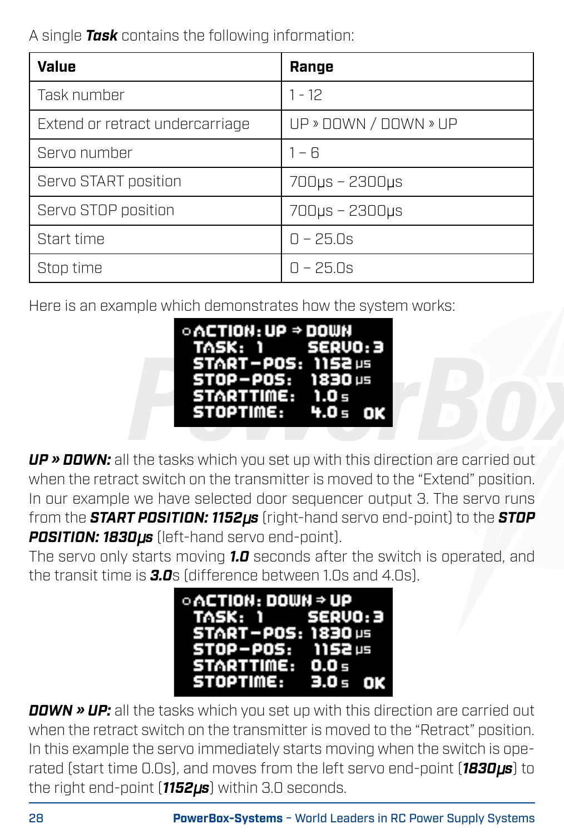A single *Task* contains the following information:

| Value                           | Range                 |
|---------------------------------|-----------------------|
| Task number                     | $1 - 12$              |
| Extend or retract undercarriage | UP » DOWN / DOWN » UP |
| Servo number                    | $1 - 6$               |
| Servo START position            | 700µs - 2300µs        |
| Servo STOP position             | 700µs - 2300µs        |
| Start time                      | $D - 25.S$            |
| Stop time                       | $D - 25.Ds$           |

Here is an example which demonstrates how the system works:



*UP » DOWN:* all the tasks which you set up with this direction are carried out when the retract switch on the transmitter is moved to the "Extend" position. In our example we have selected door sequencer output 3. The servo runs from the *START POSITION: 1152*µ*s* (right-hand servo end-point) to the *STOP POSITION: 1830*µ*s* (left-hand servo end-point).

The servo only starts moving *1.0* seconds after the switch is operated, and the transit time is *3.0*s (difference between 1.0s and 4.0s).



*DOWN » UP:* all the tasks which you set up with this direction are carried out when the retract switch on the transmitter is moved to the "Retract" position. In this example the servo immediately starts moving when the switch is operated (start time 0.0s), and moves from the left servo end-point (*1830*µ*s*) to the right end-point (*1152*µ*s*) within 3.0 seconds.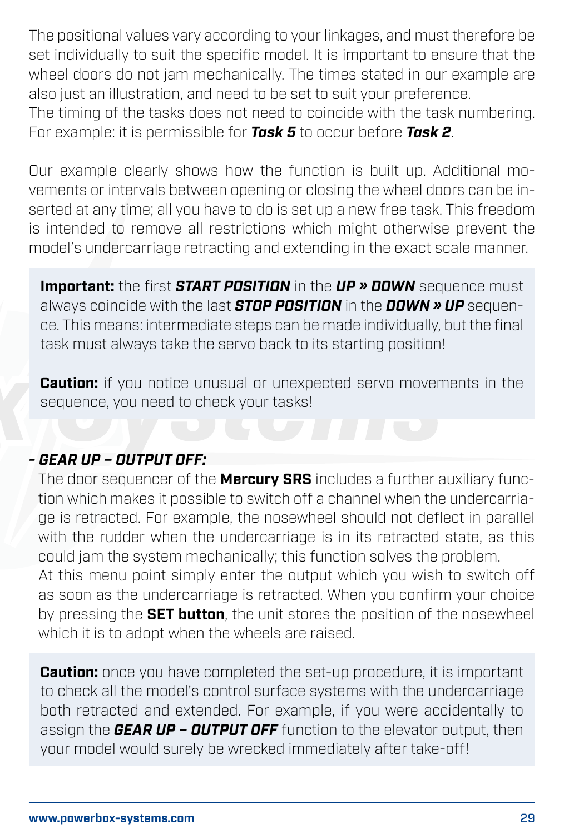The positional values vary according to your linkages, and must therefore be set individually to suit the specific model. It is important to ensure that the wheel doors do not jam mechanically. The times stated in our example are also just an illustration, and need to be set to suit your preference.

The timing of the tasks does not need to coincide with the task numbering. For example: it is permissible for *Task 5* to occur before *Task 2*.

Our example clearly shows how the function is built up. Additional movements or intervals between opening or closing the wheel doors can be inserted at any time; all you have to do is set up a new free task. This freedom is intended to remove all restrictions which might otherwise prevent the model's undercarriage retracting and extending in the exact scale manner.

**Important:** the first *START POSITION* in the *UP » DOWN* sequence must always coincide with the last *STOP POSITION* in the *DOWN » UP* sequence. This means: intermediate steps can be made individually, but the final task must always take the servo back to its starting position!

**Caution:** if you notice unusual or unexpected servo movements in the sequence, you need to check your tasks!

#### *- GEAR UP – OUTPUT OFF:*

The door sequencer of the **Mercury SRS** includes a further auxiliary function which makes it possible to switch off a channel when the undercarriage is retracted. For example, the nosewheel should not deflect in parallel with the rudder when the undercarriage is in its retracted state, as this could jam the system mechanically; this function solves the problem. At this menu point simply enter the output which you wish to switch off

as soon as the undercarriage is retracted. When you confirm your choice by pressing the **SET button**, the unit stores the position of the nosewheel which it is to adopt when the wheels are raised.

**Caution:** once you have completed the set-up procedure, it is important to check all the model's control surface systems with the undercarriage both retracted and extended. For example, if you were accidentally to assign the *GEAR UP – OUTPUT OFF* function to the elevator output, then your model would surely be wrecked immediately after take-off!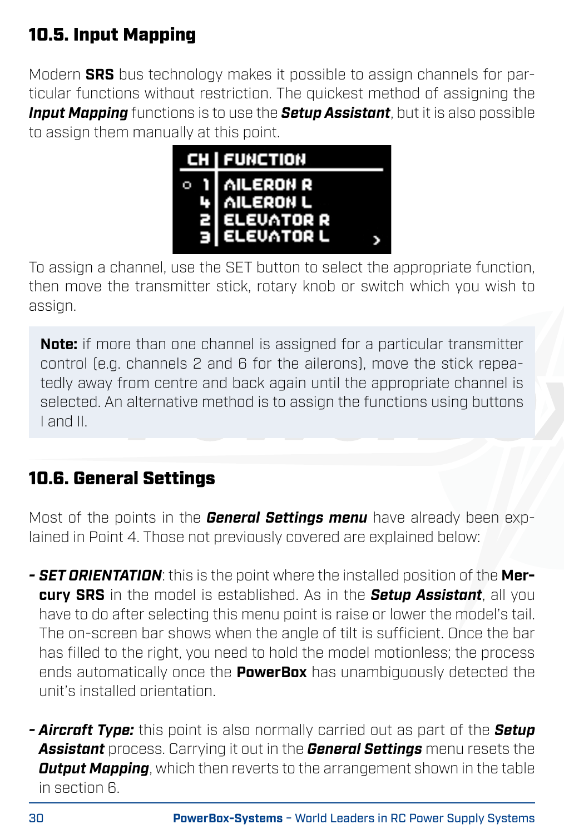# 10.5. Input Mapping

Modern **SRS** bus technology makes it possible to assign channels for particular functions without restriction. The quickest method of assigning the *Input Mapping* functions is to use the *Setup Assistant*, but it is also possible to assign them manually at this point.



To assign a channel, use the SET button to select the appropriate function, then move the transmitter stick, rotary knob or switch which you wish to assign.

**Note:** if more than one channel is assigned for a particular transmitter control (e.g. channels 2 and 6 for the ailerons), move the stick repeatedly away from centre and back again until the appropriate channel is selected. An alternative method is to assign the functions using buttons I and II.

# 10.6. General Settings

Most of the points in the *General Settings menu* have already been explained in Point 4. Those not previously covered are explained below:

- *SET ORIENTATION*: this is the point where the installed position of the **Mercury SRS** in the model is established. As in the *Setup Assistant*, all you have to do after selecting this menu point is raise or lower the model's tail. The on-screen bar shows when the angle of tilt is sufficient. Once the bar has filled to the right, you need to hold the model motionless; the process ends automatically once the **PowerBox** has unambiguously detected the unit's installed orientation.
- *Aircraft Type:* this point is also normally carried out as part of the *Setup Assistant* process. Carrying it out in the *General Settings* menu resets the *Output Mapping*, which then reverts to the arrangement shown in the table in section 6.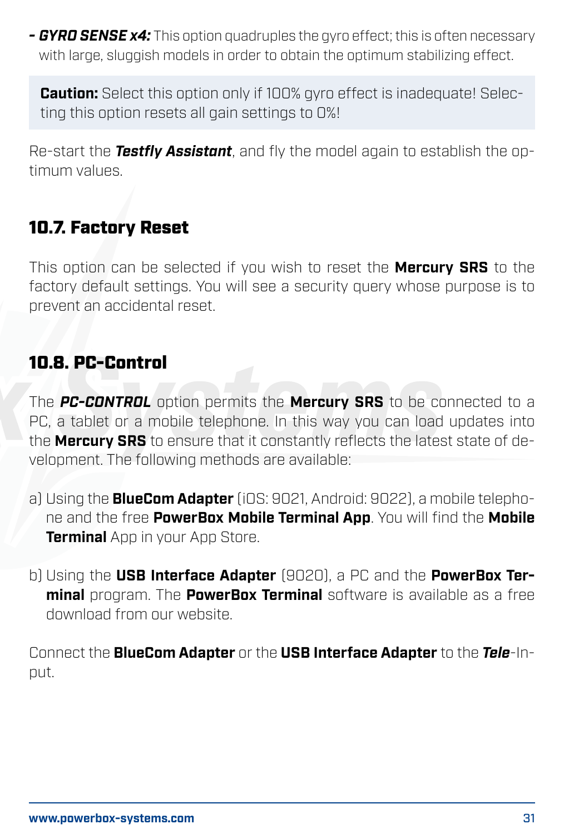*- GYRO SENSE x4:* This option quadruples the gyro effect; this is often necessary with large, sluggish models in order to obtain the optimum stabilizing effect.

**Caution:** Select this option only if 100% gyro effect is inadequate! Selecting this option resets all gain settings to 0%!

Re-start the *Testfly Assistant*, and fly the model again to establish the optimum values.

### 10.7. Factory Reset

This option can be selected if you wish to reset the **Mercury SRS** to the factory default settings. You will see a security query whose purpose is to prevent an accidental reset.

### 10.8. PC-Control

The *PC-CONTROL* option permits the **Mercury SRS** to be connected to a PC, a tablet or a mobile telephone. In this way you can load updates into the **Mercury SRS** to ensure that it constantly reflects the latest state of development. The following methods are available:

- a) Using the **BlueCom Adapter** (iOS: 9021, Android: 9022), a mobile telephone and the free **PowerBox Mobile Terminal App**. You will find the **Mobile Terminal** App in your App Store.
- b) Using the **USB Interface Adapter** (9020), a PC and the **PowerBox Terminal** program. The **PowerBox Terminal** software is available as a free download from our website.

Connect the **BlueCom Adapter** or the **USB Interface Adapter** to the *Tele*-Input.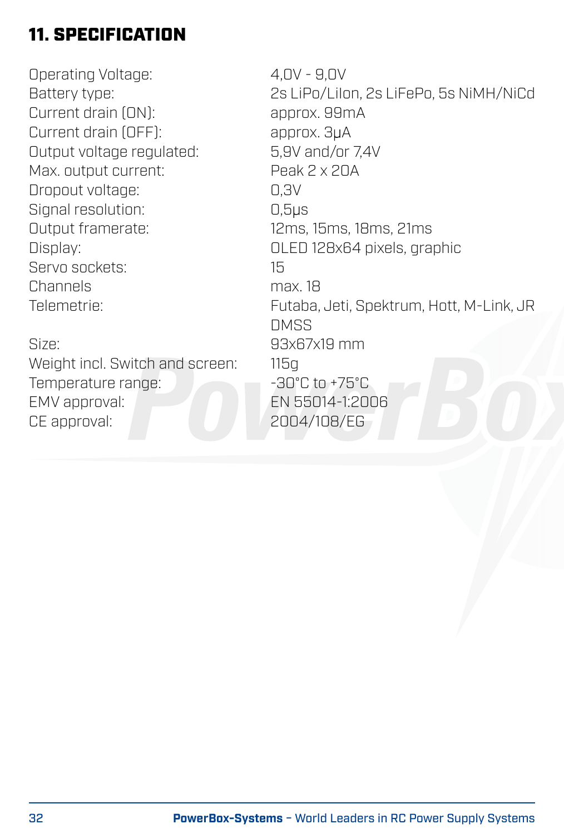# 11. SPECIFICATION

Operating Voltage: 4,0V - 9,0V Current drain (ON): approx. 99m<br>Current drain (OFF): approx. 3uA Current drain (OFF): approx. 3µA<br>Output voltage regulated: 5.9V and/or 74V Output voltage regulated: 5,9V and/or 7,<br>Max output current: Peak 2 x 2DA Max. output current: Dropout voltage: 0,3V Signal resolution: 0,5µs<br>
Output framerate: 0,5µs Servo sockets: 15 Channels max. 18

Size: 93x67x19 mm Weight incl. Switch and screen: 115g Temperature range:  $\overline{30^\circ}$ C to +75°C EMV approval: EN 55014-1:2006 CE approval: 2004/108/EG

Battery type: 2s LiPo/LiIon, 2s LiFePo, 5s NiMH/NiCd 12ms, 15ms, 18ms, 21ms Display: OLED 128x64 pixels, graphic Telemetrie: Futaba, Jeti, Spektrum, Hott, M-Link, JR **DMSS**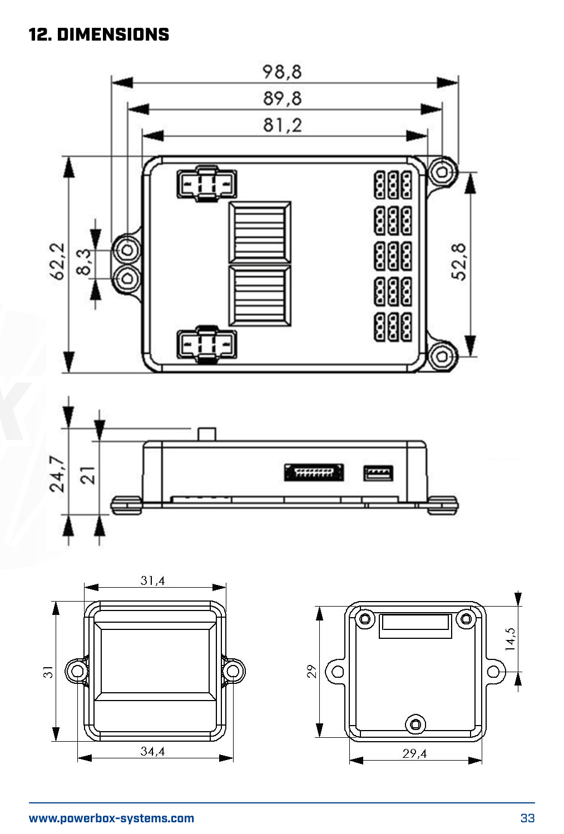# 12. DIMENSIONS







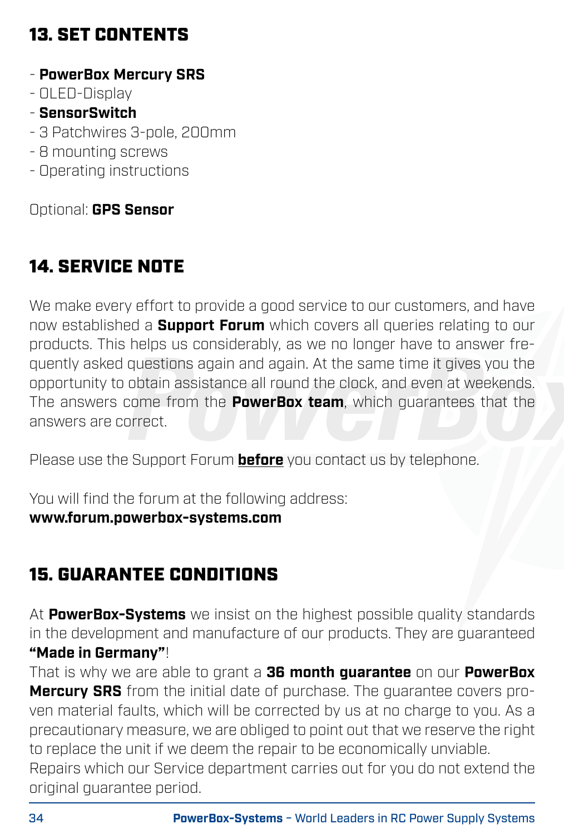# 13. SET CONTENTS

- **PowerBox Mercury SRS**
- OLED-Display
- **SensorSwitch**
- 3 Patchwires 3-pole, 200mm
- 8 mounting screws
- Operating instructions

Optional: **GPS Sensor**

# 14. SERVICE NOTE

We make every effort to provide a good service to our customers, and have now established a **Support Forum** which covers all queries relating to our products. This helps us considerably, as we no longer have to answer frequently asked questions again and again. At the same time it gives you the opportunity to obtain assistance all round the clock, and even at weekends. The answers come from the **PowerBox team**, which guarantees that the answers are correct.

Please use the Support Forum **before** you contact us by telephone.

You will find the forum at the following address: **www.forum.powerbox-systems.com**

# 15. GUARANTEE CONDITIONS

At **PowerBox-Systems** we insist on the highest possible quality standards in the development and manufacture of our products. They are guaranteed **"Made in Germany"**!

That is why we are able to grant a **36 month guarantee** on our **PowerBox Mercury SRS** from the initial date of purchase. The guarantee covers proven material faults, which will be corrected by us at no charge to you. As a precautionary measure, we are obliged to point out that we reserve the right to replace the unit if we deem the repair to be economically unviable.

Repairs which our Service department carries out for you do not extend the original guarantee period.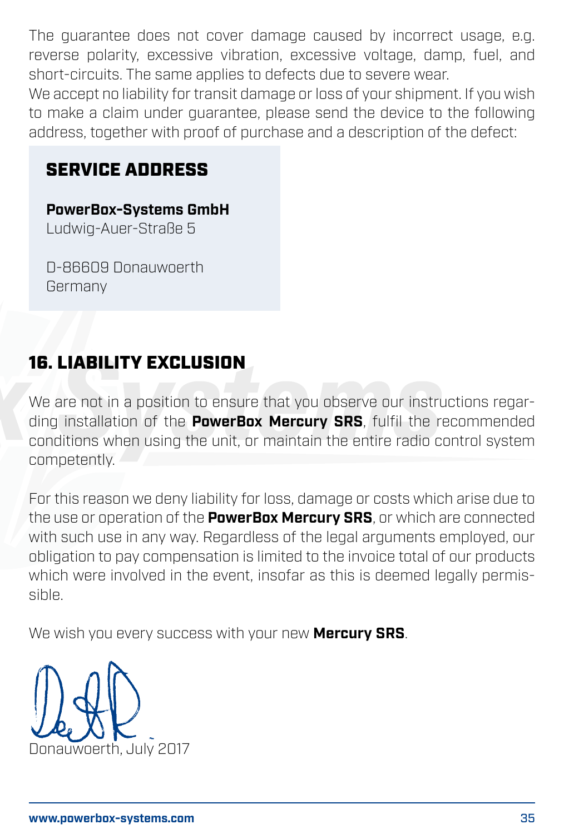The guarantee does not cover damage caused by incorrect usage, e.g. reverse polarity, excessive vibration, excessive voltage, damp, fuel, and short-circuits. The same applies to defects due to severe wear. We accept no liability for transit damage or loss of your shipment. If you wish

to make a claim under guarantee, please send the device to the following address, together with proof of purchase and a description of the defect:

### SERVICE ADDRESS

**PowerBox-Systems GmbH** Ludwig-Auer-Straße 5

D-86609 Donauwoerth Germany

### 16. LIABILITY EXCLUSION

We are not in a position to ensure that you observe our instructions regarding installation of the **PowerBox Mercury SRS**, fulfil the recommended conditions when using the unit, or maintain the entire radio control system competently.

For this reason we deny liability for loss, damage or costs which arise due to the use or operation of the **PowerBox Mercury SRS**, or which are connected with such use in any way. Regardless of the legal arguments employed, our obligation to pay compensation is limited to the invoice total of our products which were involved in the event, insofar as this is deemed legally permissible.

We wish you every success with your new **Mercury SRS**.